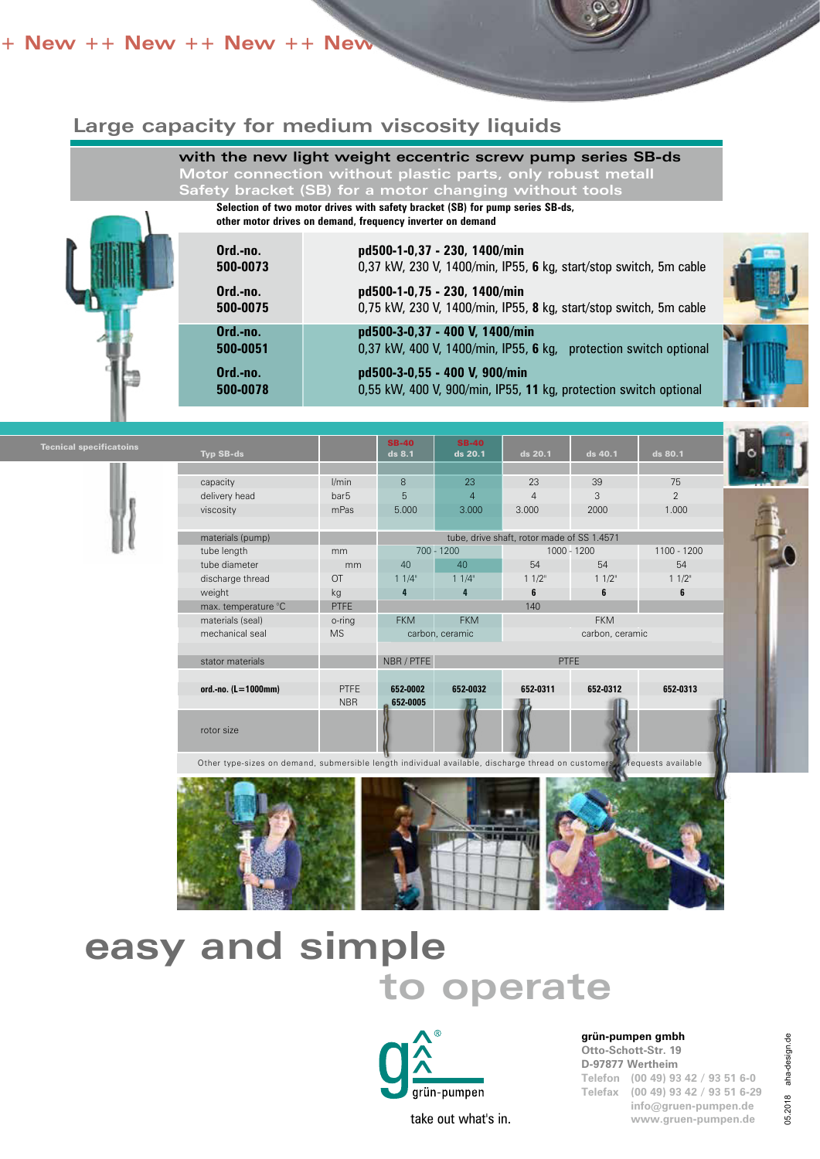#### **++ New ++ New ++ New ++ New +**

### **Large capacity for medium viscosity liquids**

#### **with the new light weight eccentric screw pump series SB-ds**

**Motor connection without plastic parts, only robust metall Safety bracket (SB) for a motor changing without tools** 

**Selection of two motor drives with safety bracket (SB) for pump series SB-ds,**

**other motor drives on demand, frequency inverter on demand**

|  | Ord.-no.<br>500-0073<br>Ord.-no.<br>500-0075 | pd500-1-0,37 - 230, 1400/min<br>0,37 kW, 230 V, 1400/min, IP55, 6 kg, start/stop switch, 5m cable<br>pd500-1-0,75 - 230, 1400/min<br>0,75 kW, 230 V, 1400/min, IP55, 8 kg, start/stop switch, 5m cable |  |
|--|----------------------------------------------|--------------------------------------------------------------------------------------------------------------------------------------------------------------------------------------------------------|--|
|  | Ord.-no.<br>500-0051                         | pd500-3-0,37 - 400 V, 1400/min<br>0,37 kW, 400 V, 1400/min, IP55, 6 kg, protection switch optional                                                                                                     |  |
|  | Ord.-no.<br>500-0078                         | pd500-3-0,55 - 400 V, 900/min<br>0,55 kW, 400 V, 900/min, IP55, 11 kg, protection switch optional                                                                                                      |  |



Other type-sizes on demand, submersible length individual available, discharge thread on customers requests available



# **easy and simple to operate**



take out what's in.

**grün-pumpen gmbh**

**Otto-Schott-Str. 19 D-97877 Wertheim Telefon (00 49) 93 42 / 93 51 6-0 Telefax (00 49) 93 42 / 93 51 6-29 info@gruen-pumpen.de www.gruen-pumpen.de**